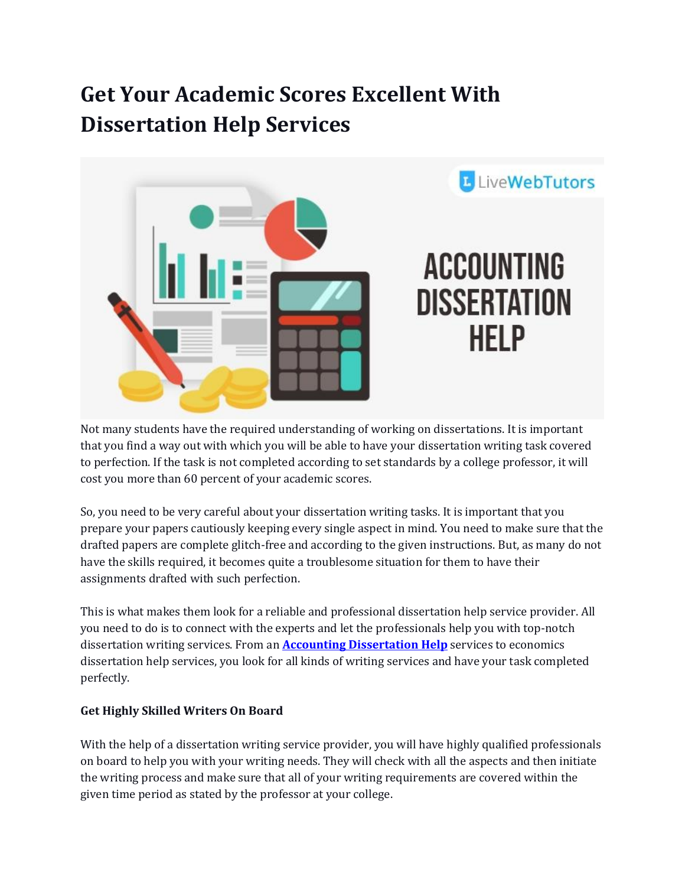## **Get Your Academic Scores Excellent With Dissertation Help Services**



Not many students have the required understanding of working on dissertations. It is important that you find a way out with which you will be able to have your dissertation writing task covered to perfection. If the task is not completed according to set standards by a college professor, it will cost you more than 60 percent of your academic scores.

So, you need to be very careful about your dissertation writing tasks. It is important that you prepare your papers cautiously keeping every single aspect in mind. You need to make sure that the drafted papers are complete glitch-free and according to the given instructions. But, as many do not have the skills required, it becomes quite a troublesome situation for them to have their assignments drafted with such perfection.

This is what makes them look for a reliable and professional dissertation help service provider. All you need to do is to connect with the experts and let the professionals help you with top-notch dissertation writing services. From an **[Accounting Dissertation Help](https://www.livewebtutors.com/uk/accounting-dissertation-help)** services to economics dissertation help services, you look for all kinds of writing services and have your task completed perfectly.

## **Get Highly Skilled Writers On Board**

With the help of a dissertation writing service provider, you will have highly qualified professionals on board to help you with your writing needs. They will check with all the aspects and then initiate the writing process and make sure that all of your writing requirements are covered within the given time period as stated by the professor at your college.